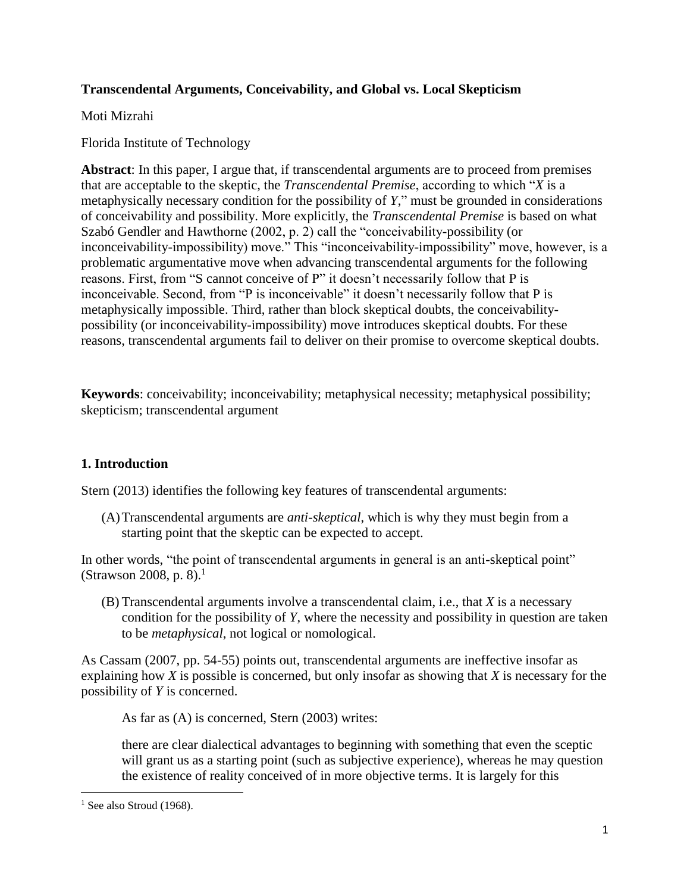## **Transcendental Arguments, Conceivability, and Global vs. Local Skepticism**

Moti Mizrahi

Florida Institute of Technology

**Abstract**: In this paper, I argue that, if transcendental arguments are to proceed from premises that are acceptable to the skeptic, the *Transcendental Premise*, according to which "*X* is a metaphysically necessary condition for the possibility of *Y*," must be grounded in considerations of conceivability and possibility. More explicitly, the *Transcendental Premise* is based on what Szabó Gendler and Hawthorne (2002, p. 2) call the "conceivability-possibility (or inconceivability-impossibility) move." This "inconceivability-impossibility" move, however, is a problematic argumentative move when advancing transcendental arguments for the following reasons. First, from "S cannot conceive of P" it doesn't necessarily follow that P is inconceivable. Second, from "P is inconceivable" it doesn't necessarily follow that P is metaphysically impossible. Third, rather than block skeptical doubts, the conceivabilitypossibility (or inconceivability-impossibility) move introduces skeptical doubts. For these reasons, transcendental arguments fail to deliver on their promise to overcome skeptical doubts.

**Keywords**: conceivability; inconceivability; metaphysical necessity; metaphysical possibility; skepticism; transcendental argument

# **1. Introduction**

Stern (2013) identifies the following key features of transcendental arguments:

(A)Transcendental arguments are *anti-skeptical*, which is why they must begin from a starting point that the skeptic can be expected to accept.

In other words, "the point of transcendental arguments in general is an anti-skeptical point" (Strawson 2008, p. 8).<sup>1</sup>

(B) Transcendental arguments involve a transcendental claim, i.e., that *X* is a necessary condition for the possibility of *Y*, where the necessity and possibility in question are taken to be *metaphysical*, not logical or nomological.

As Cassam (2007, pp. 54-55) points out, transcendental arguments are ineffective insofar as explaining how *X* is possible is concerned, but only insofar as showing that *X* is necessary for the possibility of *Y* is concerned.

As far as (A) is concerned, Stern (2003) writes:

there are clear dialectical advantages to beginning with something that even the sceptic will grant us as a starting point (such as subjective experience), whereas he may question the existence of reality conceived of in more objective terms. It is largely for this

 $\overline{\phantom{a}}$  $<sup>1</sup>$  See also Stroud (1968).</sup>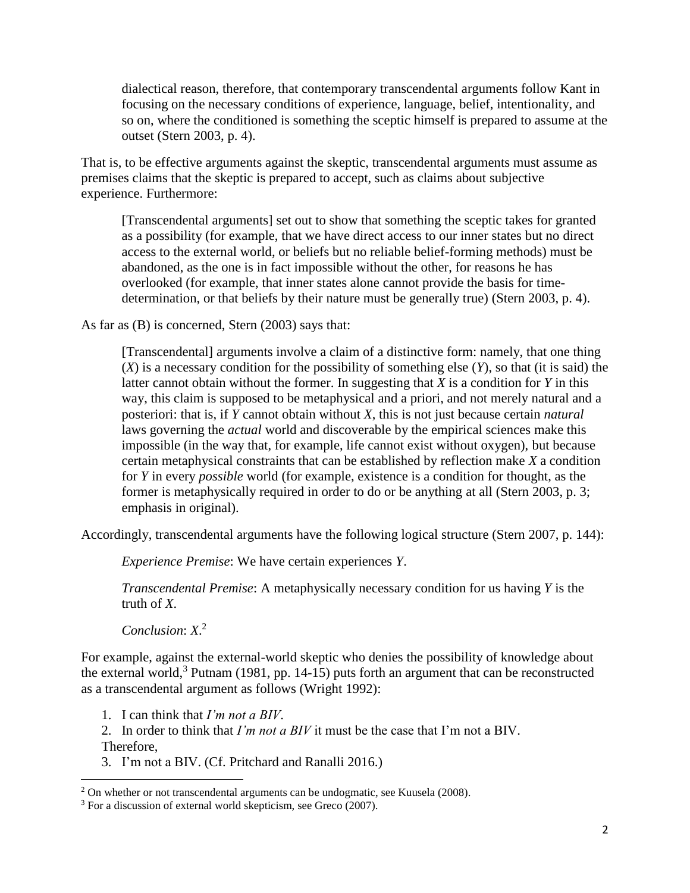dialectical reason, therefore, that contemporary transcendental arguments follow Kant in focusing on the necessary conditions of experience, language, belief, intentionality, and so on, where the conditioned is something the sceptic himself is prepared to assume at the outset (Stern 2003, p. 4).

That is, to be effective arguments against the skeptic, transcendental arguments must assume as premises claims that the skeptic is prepared to accept, such as claims about subjective experience. Furthermore:

[Transcendental arguments] set out to show that something the sceptic takes for granted as a possibility (for example, that we have direct access to our inner states but no direct access to the external world, or beliefs but no reliable belief-forming methods) must be abandoned, as the one is in fact impossible without the other, for reasons he has overlooked (for example, that inner states alone cannot provide the basis for timedetermination, or that beliefs by their nature must be generally true) (Stern 2003, p. 4).

As far as (B) is concerned, Stern (2003) says that:

[Transcendental] arguments involve a claim of a distinctive form: namely, that one thing (*X*) is a necessary condition for the possibility of something else (*Y*), so that (it is said) the latter cannot obtain without the former. In suggesting that *X* is a condition for *Y* in this way, this claim is supposed to be metaphysical and a priori, and not merely natural and a posteriori: that is, if *Y* cannot obtain without *X*, this is not just because certain *natural* laws governing the *actual* world and discoverable by the empirical sciences make this impossible (in the way that, for example, life cannot exist without oxygen), but because certain metaphysical constraints that can be established by reflection make *X* a condition for *Y* in every *possible* world (for example, existence is a condition for thought, as the former is metaphysically required in order to do or be anything at all (Stern 2003, p. 3; emphasis in original).

Accordingly, transcendental arguments have the following logical structure (Stern 2007, p. 144):

*Experience Premise*: We have certain experiences *Y*.

*Transcendental Premise*: A metaphysically necessary condition for us having *Y* is the truth of *X*.

*Conclusion*: *X*. 2

 $\overline{\phantom{a}}$ 

For example, against the external-world skeptic who denies the possibility of knowledge about the external world,<sup>3</sup> Putnam (1981, pp. 14-15) puts forth an argument that can be reconstructed as a transcendental argument as follows (Wright 1992):

1. I can think that *I'm not a BIV*.

2. In order to think that *I'm not a BIV* it must be the case that I'm not a BIV. Therefore,

3. I'm not a BIV. (Cf. Pritchard and Ranalli 2016.)

 $2$  On whether or not transcendental arguments can be undogmatic, see Kuusela (2008).

<sup>3</sup> For a discussion of external world skepticism, see Greco (2007).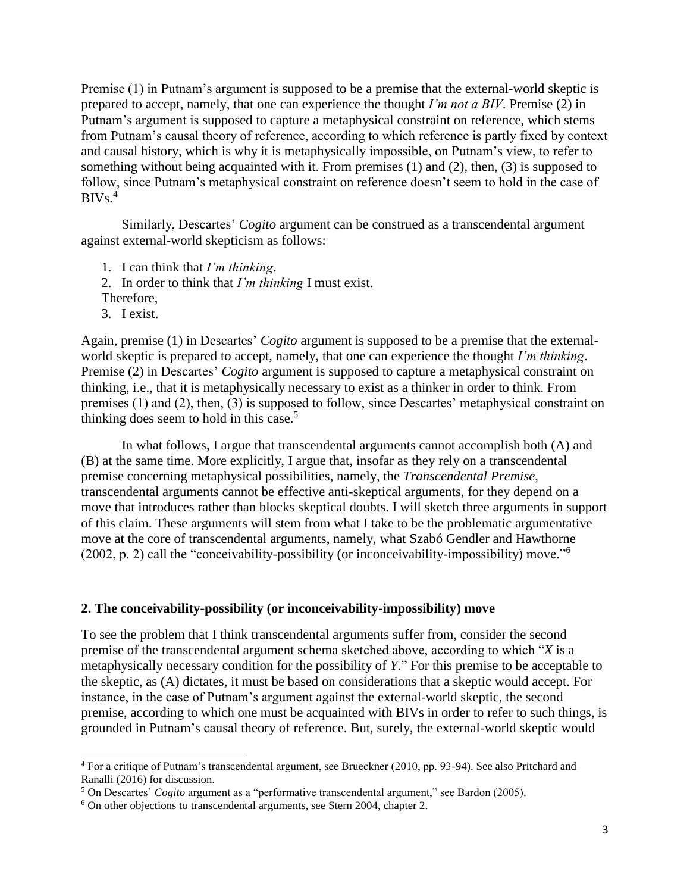Premise (1) in Putnam's argument is supposed to be a premise that the external-world skeptic is prepared to accept, namely, that one can experience the thought *I'm not a BIV*. Premise (2) in Putnam's argument is supposed to capture a metaphysical constraint on reference, which stems from Putnam's causal theory of reference, according to which reference is partly fixed by context and causal history, which is why it is metaphysically impossible, on Putnam's view, to refer to something without being acquainted with it. From premises (1) and (2), then, (3) is supposed to follow, since Putnam's metaphysical constraint on reference doesn't seem to hold in the case of  $BIVs<sup>4</sup>$ 

Similarly, Descartes' *Cogito* argument can be construed as a transcendental argument against external-world skepticism as follows:

- 1. I can think that *I'm thinking*.
- 2. In order to think that *I'm thinking* I must exist.
- Therefore,
- 3. I exist.

 $\overline{\phantom{a}}$ 

Again, premise (1) in Descartes' *Cogito* argument is supposed to be a premise that the externalworld skeptic is prepared to accept, namely, that one can experience the thought *I'm thinking*. Premise (2) in Descartes' *Cogito* argument is supposed to capture a metaphysical constraint on thinking, i.e., that it is metaphysically necessary to exist as a thinker in order to think. From premises (1) and (2), then, (3) is supposed to follow, since Descartes' metaphysical constraint on thinking does seem to hold in this case. $5$ 

In what follows, I argue that transcendental arguments cannot accomplish both (A) and (B) at the same time. More explicitly, I argue that, insofar as they rely on a transcendental premise concerning metaphysical possibilities, namely, the *Transcendental Premise*, transcendental arguments cannot be effective anti-skeptical arguments, for they depend on a move that introduces rather than blocks skeptical doubts. I will sketch three arguments in support of this claim. These arguments will stem from what I take to be the problematic argumentative move at the core of transcendental arguments, namely, what Szabó Gendler and Hawthorne (2002, p. 2) call the "conceivability-possibility (or inconceivability-impossibility) move."<sup>6</sup>

#### **2. The conceivability-possibility (or inconceivability-impossibility) move**

To see the problem that I think transcendental arguments suffer from, consider the second premise of the transcendental argument schema sketched above, according to which "*X* is a metaphysically necessary condition for the possibility of *Y*." For this premise to be acceptable to the skeptic, as (A) dictates, it must be based on considerations that a skeptic would accept. For instance, in the case of Putnam's argument against the external-world skeptic, the second premise, according to which one must be acquainted with BIVs in order to refer to such things, is grounded in Putnam's causal theory of reference. But, surely, the external-world skeptic would

<sup>4</sup> For a critique of Putnam's transcendental argument, see Brueckner (2010, pp. 93-94). See also Pritchard and Ranalli (2016) for discussion.

<sup>5</sup> On Descartes' *Cogito* argument as a "performative transcendental argument," see Bardon (2005).

<sup>6</sup> On other objections to transcendental arguments, see Stern 2004, chapter 2.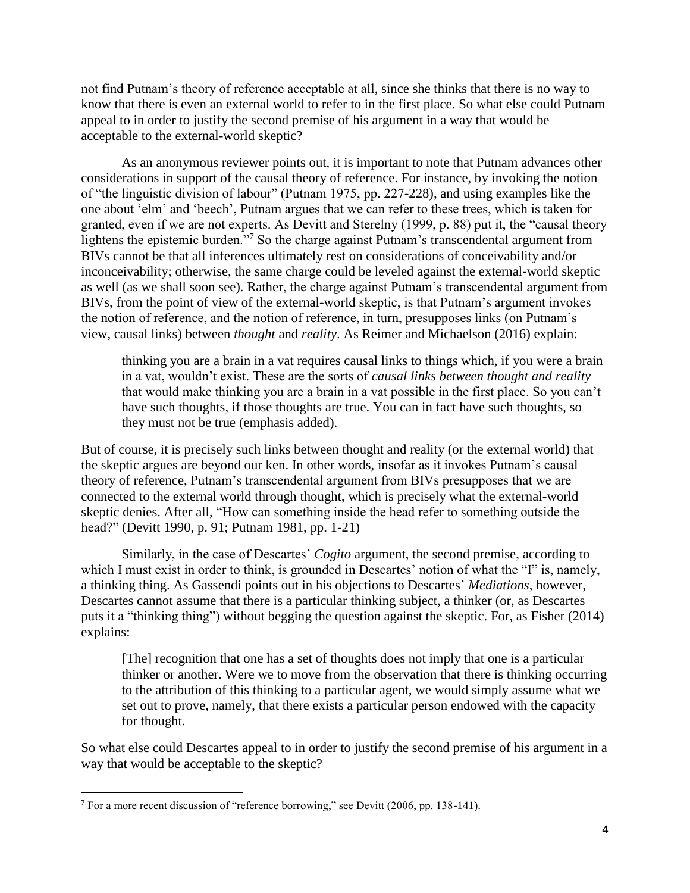not find Putnam's theory of reference acceptable at all, since she thinks that there is no way to know that there is even an external world to refer to in the first place. So what else could Putnam appeal to in order to justify the second premise of his argument in a way that would be acceptable to the external-world skeptic?

As an anonymous reviewer points out, it is important to note that Putnam advances other considerations in support of the causal theory of reference. For instance, by invoking the notion of "the linguistic division of labour" (Putnam 1975, pp. 227-228), and using examples like the one about 'elm' and 'beech', Putnam argues that we can refer to these trees, which is taken for granted, even if we are not experts. As Devitt and Sterelny (1999, p. 88) put it, the "causal theory lightens the epistemic burden."<sup>7</sup> So the charge against Putnam's transcendental argument from BIVs cannot be that all inferences ultimately rest on considerations of conceivability and/or inconceivability; otherwise, the same charge could be leveled against the external-world skeptic as well (as we shall soon see). Rather, the charge against Putnam's transcendental argument from BIVs, from the point of view of the external-world skeptic, is that Putnam's argument invokes the notion of reference, and the notion of reference, in turn, presupposes links (on Putnam's view, causal links) between *thought* and *reality*. As Reimer and Michaelson (2016) explain:

thinking you are a brain in a vat requires causal links to things which, if you were a brain in a vat, wouldn't exist. These are the sorts of *causal links between thought and reality* that would make thinking you are a brain in a vat possible in the first place. So you can't have such thoughts, if those thoughts are true. You can in fact have such thoughts, so they must not be true (emphasis added).

But of course, it is precisely such links between thought and reality (or the external world) that the skeptic argues are beyond our ken. In other words, insofar as it invokes Putnam's causal theory of reference, Putnam's transcendental argument from BIVs presupposes that we are connected to the external world through thought, which is precisely what the external-world skeptic denies. After all, "How can something inside the head refer to something outside the head?" (Devitt 1990, p. 91; Putnam 1981, pp. 1-21)

Similarly, in the case of Descartes' *Cogito* argument, the second premise, according to which I must exist in order to think, is grounded in Descartes' notion of what the "I" is, namely, a thinking thing. As Gassendi points out in his objections to Descartes' *Mediations*, however, Descartes cannot assume that there is a particular thinking subject, a thinker (or, as Descartes puts it a "thinking thing") without begging the question against the skeptic. For, as Fisher (2014) explains:

[The] recognition that one has a set of thoughts does not imply that one is a particular thinker or another. Were we to move from the observation that there is thinking occurring to the attribution of this thinking to a particular agent, we would simply assume what we set out to prove, namely, that there exists a particular person endowed with the capacity for thought.

So what else could Descartes appeal to in order to justify the second premise of his argument in a way that would be acceptable to the skeptic?

 $7$  For a more recent discussion of "reference borrowing," see Devitt (2006, pp. 138-141).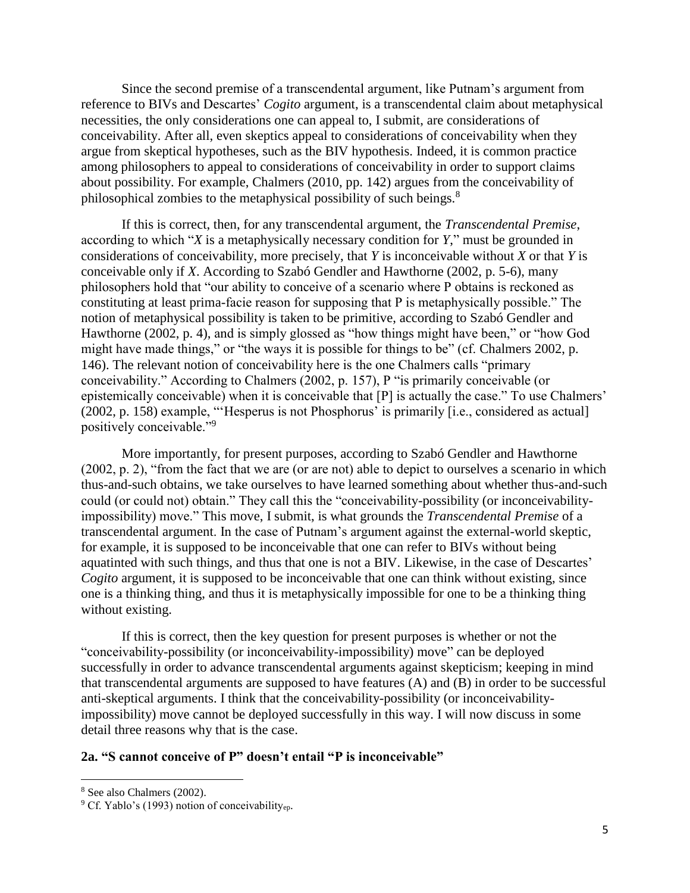Since the second premise of a transcendental argument, like Putnam's argument from reference to BIVs and Descartes' *Cogito* argument, is a transcendental claim about metaphysical necessities, the only considerations one can appeal to, I submit, are considerations of conceivability. After all, even skeptics appeal to considerations of conceivability when they argue from skeptical hypotheses, such as the BIV hypothesis. Indeed, it is common practice among philosophers to appeal to considerations of conceivability in order to support claims about possibility. For example, Chalmers (2010, pp. 142) argues from the conceivability of philosophical zombies to the metaphysical possibility of such beings.<sup>8</sup>

If this is correct, then, for any transcendental argument, the *Transcendental Premise*, according to which "*X* is a metaphysically necessary condition for *Y*," must be grounded in considerations of conceivability, more precisely, that *Y* is inconceivable without *X* or that *Y* is conceivable only if *X*. According to Szabó Gendler and Hawthorne (2002, p. 5-6), many philosophers hold that "our ability to conceive of a scenario where P obtains is reckoned as constituting at least prima-facie reason for supposing that P is metaphysically possible." The notion of metaphysical possibility is taken to be primitive, according to Szabó Gendler and Hawthorne (2002, p. 4), and is simply glossed as "how things might have been," or "how God might have made things," or "the ways it is possible for things to be" (cf. Chalmers 2002, p. 146). The relevant notion of conceivability here is the one Chalmers calls "primary conceivability." According to Chalmers (2002, p. 157), P "is primarily conceivable (or epistemically conceivable) when it is conceivable that [P] is actually the case." To use Chalmers' (2002, p. 158) example, "'Hesperus is not Phosphorus' is primarily [i.e., considered as actual] positively conceivable."<sup>9</sup>

More importantly, for present purposes, according to Szabó Gendler and Hawthorne (2002, p. 2), "from the fact that we are (or are not) able to depict to ourselves a scenario in which thus-and-such obtains, we take ourselves to have learned something about whether thus-and-such could (or could not) obtain." They call this the "conceivability-possibility (or inconceivabilityimpossibility) move." This move, I submit, is what grounds the *Transcendental Premise* of a transcendental argument. In the case of Putnam's argument against the external-world skeptic, for example, it is supposed to be inconceivable that one can refer to BIVs without being aquatinted with such things, and thus that one is not a BIV. Likewise, in the case of Descartes' *Cogito* argument, it is supposed to be inconceivable that one can think without existing, since one is a thinking thing, and thus it is metaphysically impossible for one to be a thinking thing without existing.

If this is correct, then the key question for present purposes is whether or not the "conceivability-possibility (or inconceivability-impossibility) move" can be deployed successfully in order to advance transcendental arguments against skepticism; keeping in mind that transcendental arguments are supposed to have features (A) and (B) in order to be successful anti-skeptical arguments. I think that the conceivability-possibility (or inconceivabilityimpossibility) move cannot be deployed successfully in this way. I will now discuss in some detail three reasons why that is the case.

#### **2a. "S cannot conceive of P" doesn't entail "P is inconceivable"**

<sup>8</sup> See also Chalmers (2002).

 $9^9$  Cf. Yablo's (1993) notion of conceivability<sub>ep</sub>.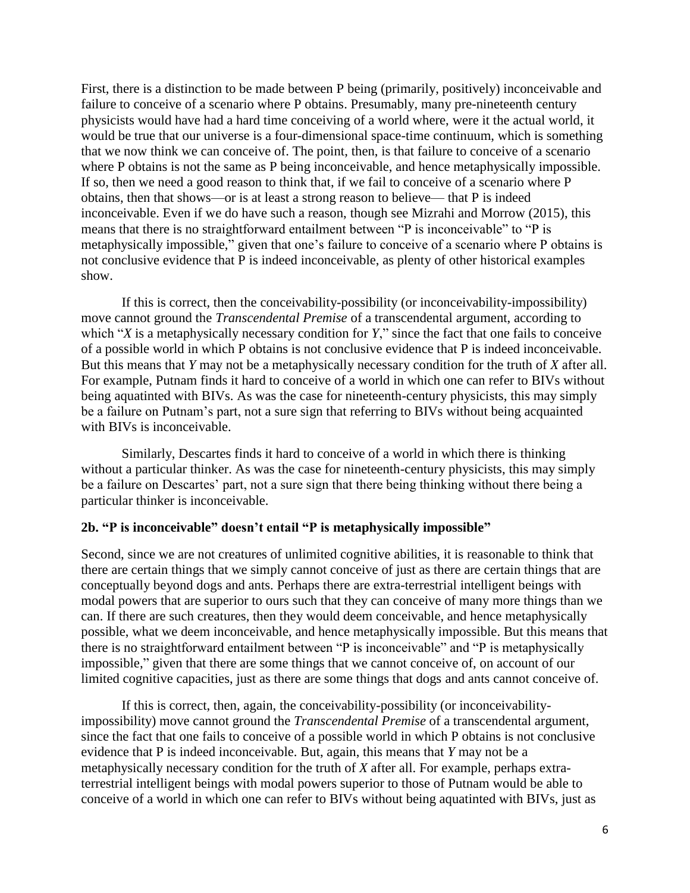First, there is a distinction to be made between P being (primarily, positively) inconceivable and failure to conceive of a scenario where P obtains. Presumably, many pre-nineteenth century physicists would have had a hard time conceiving of a world where, were it the actual world, it would be true that our universe is a four-dimensional space-time continuum, which is something that we now think we can conceive of. The point, then, is that failure to conceive of a scenario where P obtains is not the same as P being inconceivable, and hence metaphysically impossible. If so, then we need a good reason to think that, if we fail to conceive of a scenario where P obtains, then that shows—or is at least a strong reason to believe— that P is indeed inconceivable. Even if we do have such a reason, though see Mizrahi and Morrow (2015), this means that there is no straightforward entailment between "P is inconceivable" to "P is metaphysically impossible," given that one's failure to conceive of a scenario where P obtains is not conclusive evidence that P is indeed inconceivable, as plenty of other historical examples show.

If this is correct, then the conceivability-possibility (or inconceivability-impossibility) move cannot ground the *Transcendental Premise* of a transcendental argument, according to which "*X* is a metaphysically necessary condition for *Y*," since the fact that one fails to conceive of a possible world in which P obtains is not conclusive evidence that P is indeed inconceivable. But this means that *Y* may not be a metaphysically necessary condition for the truth of *X* after all. For example, Putnam finds it hard to conceive of a world in which one can refer to BIVs without being aquatinted with BIVs. As was the case for nineteenth-century physicists, this may simply be a failure on Putnam's part, not a sure sign that referring to BIVs without being acquainted with BIVs is inconceivable.

Similarly, Descartes finds it hard to conceive of a world in which there is thinking without a particular thinker. As was the case for nineteenth-century physicists, this may simply be a failure on Descartes' part, not a sure sign that there being thinking without there being a particular thinker is inconceivable.

### **2b. "P is inconceivable" doesn't entail "P is metaphysically impossible"**

Second, since we are not creatures of unlimited cognitive abilities, it is reasonable to think that there are certain things that we simply cannot conceive of just as there are certain things that are conceptually beyond dogs and ants. Perhaps there are extra-terrestrial intelligent beings with modal powers that are superior to ours such that they can conceive of many more things than we can. If there are such creatures, then they would deem conceivable, and hence metaphysically possible, what we deem inconceivable, and hence metaphysically impossible. But this means that there is no straightforward entailment between "P is inconceivable" and "P is metaphysically impossible," given that there are some things that we cannot conceive of, on account of our limited cognitive capacities, just as there are some things that dogs and ants cannot conceive of.

If this is correct, then, again, the conceivability-possibility (or inconceivabilityimpossibility) move cannot ground the *Transcendental Premise* of a transcendental argument, since the fact that one fails to conceive of a possible world in which P obtains is not conclusive evidence that P is indeed inconceivable. But, again, this means that *Y* may not be a metaphysically necessary condition for the truth of *X* after all. For example, perhaps extraterrestrial intelligent beings with modal powers superior to those of Putnam would be able to conceive of a world in which one can refer to BIVs without being aquatinted with BIVs, just as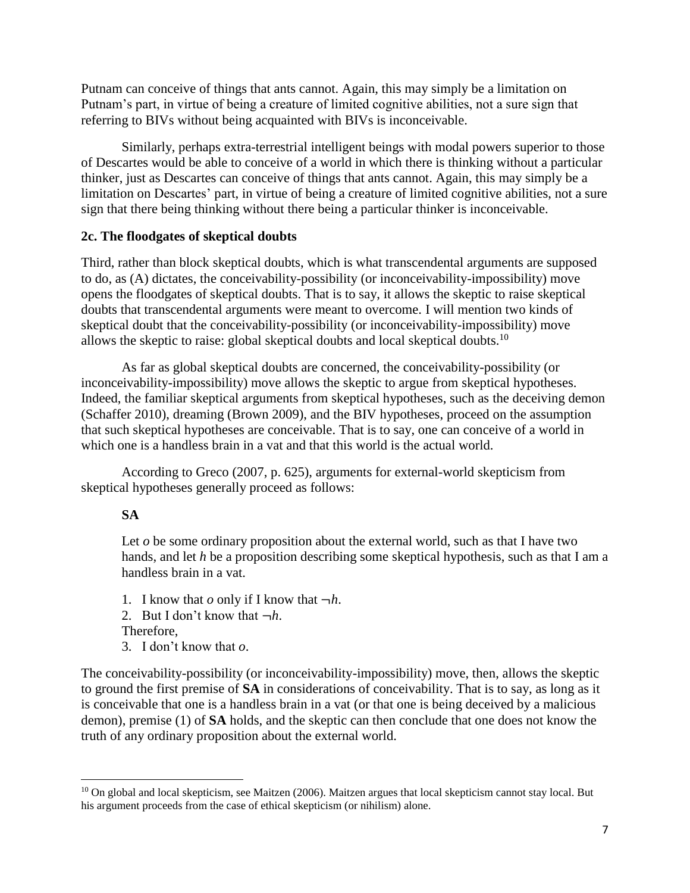Putnam can conceive of things that ants cannot. Again, this may simply be a limitation on Putnam's part, in virtue of being a creature of limited cognitive abilities, not a sure sign that referring to BIVs without being acquainted with BIVs is inconceivable.

Similarly, perhaps extra-terrestrial intelligent beings with modal powers superior to those of Descartes would be able to conceive of a world in which there is thinking without a particular thinker, just as Descartes can conceive of things that ants cannot. Again, this may simply be a limitation on Descartes' part, in virtue of being a creature of limited cognitive abilities, not a sure sign that there being thinking without there being a particular thinker is inconceivable.

### **2c. The floodgates of skeptical doubts**

Third, rather than block skeptical doubts, which is what transcendental arguments are supposed to do, as (A) dictates, the conceivability-possibility (or inconceivability-impossibility) move opens the floodgates of skeptical doubts. That is to say, it allows the skeptic to raise skeptical doubts that transcendental arguments were meant to overcome. I will mention two kinds of skeptical doubt that the conceivability-possibility (or inconceivability-impossibility) move allows the skeptic to raise: global skeptical doubts and local skeptical doubts.<sup>10</sup>

As far as global skeptical doubts are concerned, the conceivability-possibility (or inconceivability-impossibility) move allows the skeptic to argue from skeptical hypotheses. Indeed, the familiar skeptical arguments from skeptical hypotheses, such as the deceiving demon (Schaffer 2010), dreaming (Brown 2009), and the BIV hypotheses, proceed on the assumption that such skeptical hypotheses are conceivable. That is to say, one can conceive of a world in which one is a handless brain in a vat and that this world is the actual world.

According to Greco (2007, p. 625), arguments for external-world skepticism from skeptical hypotheses generally proceed as follows:

## **SA**

Let *o* be some ordinary proposition about the external world, such as that I have two hands, and let *h* be a proposition describing some skeptical hypothesis, such as that I am a handless brain in a vat.

1. I know that  $o$  only if I know that  $\neg h$ .

2. But I don't know that  $\neg h$ .

Therefore,

 $\overline{\phantom{a}}$ 

3. I don't know that *o*.

The conceivability-possibility (or inconceivability-impossibility) move, then, allows the skeptic to ground the first premise of **SA** in considerations of conceivability. That is to say, as long as it is conceivable that one is a handless brain in a vat (or that one is being deceived by a malicious demon), premise (1) of **SA** holds, and the skeptic can then conclude that one does not know the truth of any ordinary proposition about the external world.

 $10$  On global and local skepticism, see Maitzen (2006). Maitzen argues that local skepticism cannot stay local. But his argument proceeds from the case of ethical skepticism (or nihilism) alone.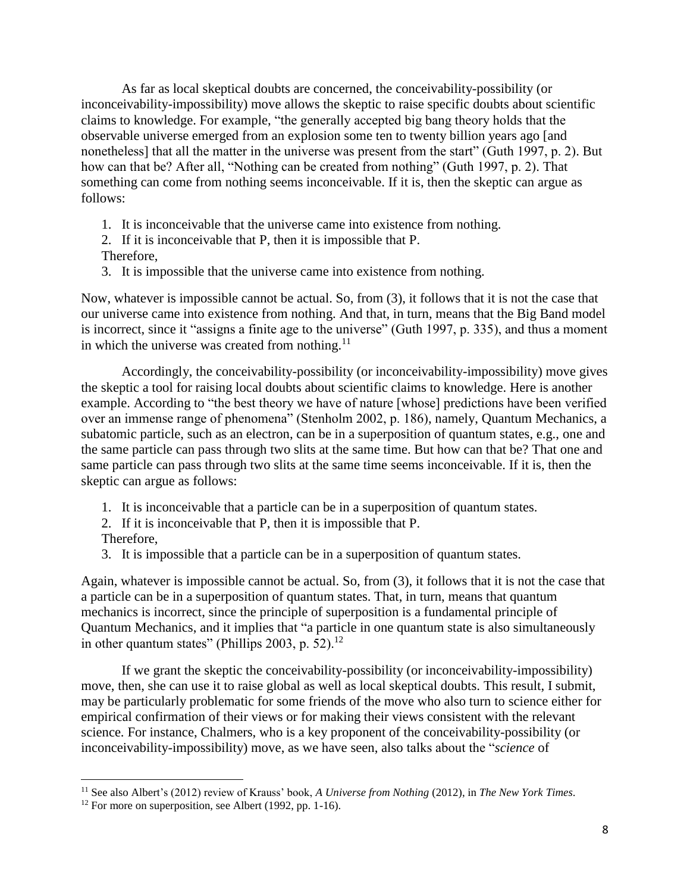As far as local skeptical doubts are concerned, the conceivability-possibility (or inconceivability-impossibility) move allows the skeptic to raise specific doubts about scientific claims to knowledge. For example, "the generally accepted big bang theory holds that the observable universe emerged from an explosion some ten to twenty billion years ago [and nonetheless] that all the matter in the universe was present from the start" (Guth 1997, p. 2). But how can that be? After all, "Nothing can be created from nothing" (Guth 1997, p. 2). That something can come from nothing seems inconceivable. If it is, then the skeptic can argue as follows:

- 1. It is inconceivable that the universe came into existence from nothing.
- 2. If it is inconceivable that P, then it is impossible that P.
- Therefore,
- 3. It is impossible that the universe came into existence from nothing.

Now, whatever is impossible cannot be actual. So, from (3), it follows that it is not the case that our universe came into existence from nothing. And that, in turn, means that the Big Band model is incorrect, since it "assigns a finite age to the universe" (Guth 1997, p. 335), and thus a moment in which the universe was created from nothing. $<sup>11</sup>$ </sup>

Accordingly, the conceivability-possibility (or inconceivability-impossibility) move gives the skeptic a tool for raising local doubts about scientific claims to knowledge. Here is another example. According to "the best theory we have of nature [whose] predictions have been verified over an immense range of phenomena" (Stenholm 2002, p. 186), namely, Quantum Mechanics, a subatomic particle, such as an electron, can be in a superposition of quantum states, e.g., one and the same particle can pass through two slits at the same time. But how can that be? That one and same particle can pass through two slits at the same time seems inconceivable. If it is, then the skeptic can argue as follows:

- 1. It is inconceivable that a particle can be in a superposition of quantum states.
- 2. If it is inconceivable that P, then it is impossible that P.
- Therefore,

 $\overline{\phantom{a}}$ 

3. It is impossible that a particle can be in a superposition of quantum states.

Again, whatever is impossible cannot be actual. So, from (3), it follows that it is not the case that a particle can be in a superposition of quantum states. That, in turn, means that quantum mechanics is incorrect, since the principle of superposition is a fundamental principle of Quantum Mechanics, and it implies that "a particle in one quantum state is also simultaneously in other quantum states" (Phillips 2003, p. 52).<sup>12</sup>

If we grant the skeptic the conceivability-possibility (or inconceivability-impossibility) move, then, she can use it to raise global as well as local skeptical doubts. This result, I submit, may be particularly problematic for some friends of the move who also turn to science either for empirical confirmation of their views or for making their views consistent with the relevant science. For instance, Chalmers, who is a key proponent of the conceivability-possibility (or inconceivability-impossibility) move, as we have seen, also talks about the "*science* of

<sup>11</sup> See also Albert's (2012) review of Krauss' book, *A Universe from Nothing* (2012), in *The New York Times*.

<sup>&</sup>lt;sup>12</sup> For more on superposition, see Albert (1992, pp. 1-16).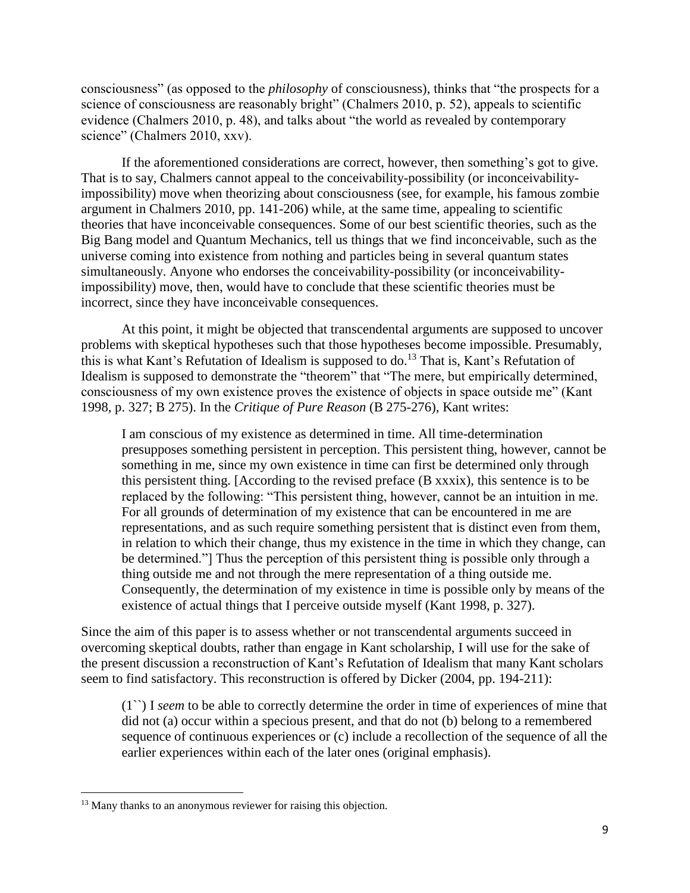consciousness" (as opposed to the *philosophy* of consciousness), thinks that "the prospects for a science of consciousness are reasonably bright" (Chalmers 2010, p. 52), appeals to scientific evidence (Chalmers 2010, p. 48), and talks about "the world as revealed by contemporary science" (Chalmers 2010, xxv).

If the aforementioned considerations are correct, however, then something's got to give. That is to say, Chalmers cannot appeal to the conceivability-possibility (or inconceivabilityimpossibility) move when theorizing about consciousness (see, for example, his famous zombie argument in Chalmers 2010, pp. 141-206) while, at the same time, appealing to scientific theories that have inconceivable consequences. Some of our best scientific theories, such as the Big Bang model and Quantum Mechanics, tell us things that we find inconceivable, such as the universe coming into existence from nothing and particles being in several quantum states simultaneously. Anyone who endorses the conceivability-possibility (or inconceivabilityimpossibility) move, then, would have to conclude that these scientific theories must be incorrect, since they have inconceivable consequences.

At this point, it might be objected that transcendental arguments are supposed to uncover problems with skeptical hypotheses such that those hypotheses become impossible. Presumably, this is what Kant's Refutation of Idealism is supposed to do.<sup>13</sup> That is, Kant's Refutation of Idealism is supposed to demonstrate the "theorem" that "The mere, but empirically determined, consciousness of my own existence proves the existence of objects in space outside me" (Kant 1998, p. 327; B 275). In the *Critique of Pure Reason* (B 275-276), Kant writes:

I am conscious of my existence as determined in time. All time-determination presupposes something persistent in perception. This persistent thing, however, cannot be something in me, since my own existence in time can first be determined only through this persistent thing. [According to the revised preface (B xxxix), this sentence is to be replaced by the following: "This persistent thing, however, cannot be an intuition in me. For all grounds of determination of my existence that can be encountered in me are representations, and as such require something persistent that is distinct even from them, in relation to which their change, thus my existence in the time in which they change, can be determined."] Thus the perception of this persistent thing is possible only through a thing outside me and not through the mere representation of a thing outside me. Consequently, the determination of my existence in time is possible only by means of the existence of actual things that I perceive outside myself (Kant 1998, p. 327).

Since the aim of this paper is to assess whether or not transcendental arguments succeed in overcoming skeptical doubts, rather than engage in Kant scholarship, I will use for the sake of the present discussion a reconstruction of Kant's Refutation of Idealism that many Kant scholars seem to find satisfactory. This reconstruction is offered by Dicker (2004, pp. 194-211):

(1``) I *seem* to be able to correctly determine the order in time of experiences of mine that did not (a) occur within a specious present, and that do not (b) belong to a remembered sequence of continuous experiences or (c) include a recollection of the sequence of all the earlier experiences within each of the later ones (original emphasis).

<sup>&</sup>lt;sup>13</sup> Many thanks to an anonymous reviewer for raising this objection.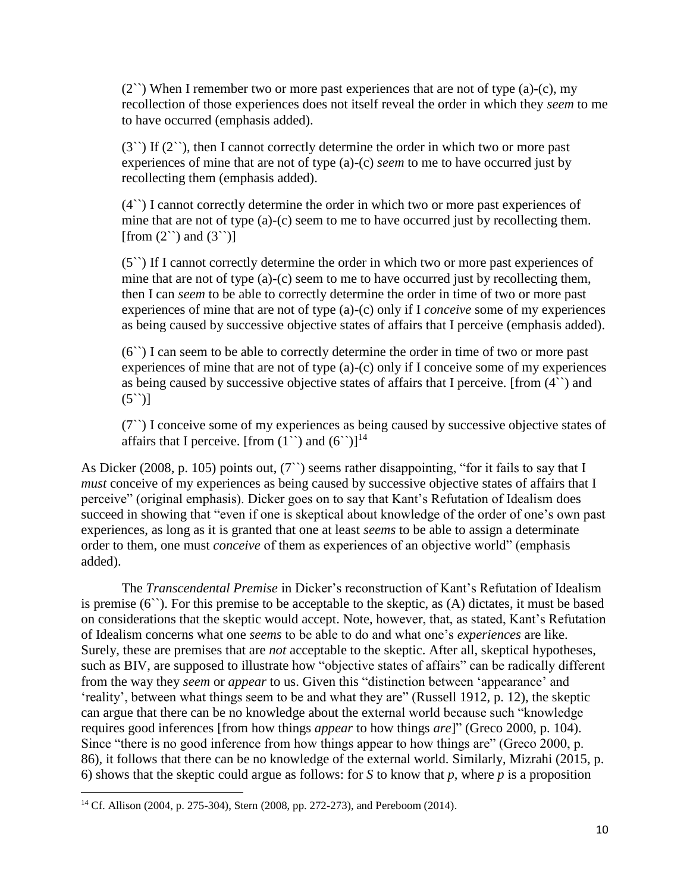$(2^{\prime\prime})$  When I remember two or more past experiences that are not of type (a)-(c), my recollection of those experiences does not itself reveal the order in which they *seem* to me to have occurred (emphasis added).

 $(3^{\prime\prime})$  If  $(2^{\prime\prime})$ , then I cannot correctly determine the order in which two or more past experiences of mine that are not of type (a)-(c) *seem* to me to have occurred just by recollecting them (emphasis added).

(4``) I cannot correctly determine the order in which two or more past experiences of mine that are not of type (a)-(c) seem to me to have occurred just by recollecting them. [from  $(2^{\prime\prime})$  and  $(3^{\prime\prime})$ ]

(5``) If I cannot correctly determine the order in which two or more past experiences of mine that are not of type (a)-(c) seem to me to have occurred just by recollecting them, then I can *seem* to be able to correctly determine the order in time of two or more past experiences of mine that are not of type (a)-(c) only if I *conceive* some of my experiences as being caused by successive objective states of affairs that I perceive (emphasis added).

(6``) I can seem to be able to correctly determine the order in time of two or more past experiences of mine that are not of type (a)-(c) only if I conceive some of my experiences as being caused by successive objective states of affairs that I perceive. [from (4``) and  $(5^{\prime\prime})]$ 

(7``) I conceive some of my experiences as being caused by successive objective states of affairs that I perceive. [from  $(1^{\prime\prime})$  and  $(6^{\prime\prime})$ ]<sup>14</sup>

As Dicker (2008, p. 105) points out, (7") seems rather disappointing, "for it fails to say that I *must* conceive of my experiences as being caused by successive objective states of affairs that I perceive" (original emphasis). Dicker goes on to say that Kant's Refutation of Idealism does succeed in showing that "even if one is skeptical about knowledge of the order of one's own past experiences, as long as it is granted that one at least *seems* to be able to assign a determinate order to them, one must *conceive* of them as experiences of an objective world" (emphasis added).

The *Transcendental Premise* in Dicker's reconstruction of Kant's Refutation of Idealism is premise (6``). For this premise to be acceptable to the skeptic, as (A) dictates, it must be based on considerations that the skeptic would accept. Note, however, that, as stated, Kant's Refutation of Idealism concerns what one *seems* to be able to do and what one's *experiences* are like. Surely, these are premises that are *not* acceptable to the skeptic. After all, skeptical hypotheses, such as BIV, are supposed to illustrate how "objective states of affairs" can be radically different from the way they *seem* or *appear* to us. Given this "distinction between 'appearance' and 'reality', between what things seem to be and what they are" (Russell 1912, p. 12), the skeptic can argue that there can be no knowledge about the external world because such "knowledge requires good inferences [from how things *appear* to how things *are*]" (Greco 2000, p. 104). Since "there is no good inference from how things appear to how things are" (Greco 2000, p. 86), it follows that there can be no knowledge of the external world. Similarly, Mizrahi (2015, p. 6) shows that the skeptic could argue as follows: for *S* to know that *p*, where *p* is a proposition

<sup>14</sup> Cf. Allison (2004, p. 275-304), Stern (2008, pp. 272-273), and Pereboom (2014).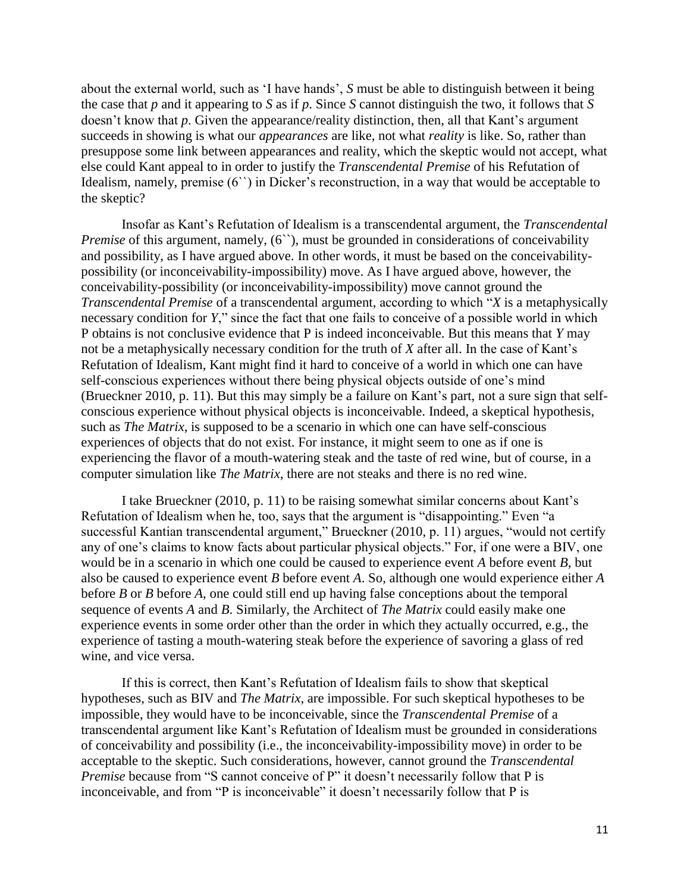about the external world, such as 'I have hands', *S* must be able to distinguish between it being the case that *p* and it appearing to *S* as if *p*. Since *S* cannot distinguish the two, it follows that *S* doesn't know that *p*. Given the appearance/reality distinction, then, all that Kant's argument succeeds in showing is what our *appearances* are like, not what *reality* is like. So, rather than presuppose some link between appearances and reality, which the skeptic would not accept, what else could Kant appeal to in order to justify the *Transcendental Premise* of his Refutation of Idealism, namely, premise (6``) in Dicker's reconstruction, in a way that would be acceptable to the skeptic?

Insofar as Kant's Refutation of Idealism is a transcendental argument, the *Transcendental Premise* of this argument, namely, (6"), must be grounded in considerations of conceivability and possibility, as I have argued above. In other words, it must be based on the conceivabilitypossibility (or inconceivability-impossibility) move. As I have argued above, however, the conceivability-possibility (or inconceivability-impossibility) move cannot ground the *Transcendental Premise* of a transcendental argument, according to which "*X* is a metaphysically necessary condition for *Y*," since the fact that one fails to conceive of a possible world in which P obtains is not conclusive evidence that P is indeed inconceivable. But this means that *Y* may not be a metaphysically necessary condition for the truth of *X* after all. In the case of Kant's Refutation of Idealism, Kant might find it hard to conceive of a world in which one can have self-conscious experiences without there being physical objects outside of one's mind (Brueckner 2010, p. 11). But this may simply be a failure on Kant's part, not a sure sign that selfconscious experience without physical objects is inconceivable. Indeed, a skeptical hypothesis, such as *The Matrix*, is supposed to be a scenario in which one can have self-conscious experiences of objects that do not exist. For instance, it might seem to one as if one is experiencing the flavor of a mouth-watering steak and the taste of red wine, but of course, in a computer simulation like *The Matrix*, there are not steaks and there is no red wine.

I take Brueckner (2010, p. 11) to be raising somewhat similar concerns about Kant's Refutation of Idealism when he, too, says that the argument is "disappointing." Even "a successful Kantian transcendental argument," Brueckner (2010, p. 11) argues, "would not certify any of one's claims to know facts about particular physical objects." For, if one were a BIV, one would be in a scenario in which one could be caused to experience event *A* before event *B*, but also be caused to experience event *B* before event *A*. So, although one would experience either *A* before *B* or *B* before *A*, one could still end up having false conceptions about the temporal sequence of events *A* and *B*. Similarly, the Architect of *The Matrix* could easily make one experience events in some order other than the order in which they actually occurred, e.g., the experience of tasting a mouth-watering steak before the experience of savoring a glass of red wine, and vice versa.

If this is correct, then Kant's Refutation of Idealism fails to show that skeptical hypotheses, such as BIV and *The Matrix*, are impossible. For such skeptical hypotheses to be impossible, they would have to be inconceivable, since the *Transcendental Premise* of a transcendental argument like Kant's Refutation of Idealism must be grounded in considerations of conceivability and possibility (i.e., the inconceivability-impossibility move) in order to be acceptable to the skeptic. Such considerations, however, cannot ground the *Transcendental Premise* because from "S cannot conceive of P" it doesn't necessarily follow that P is inconceivable, and from "P is inconceivable" it doesn't necessarily follow that P is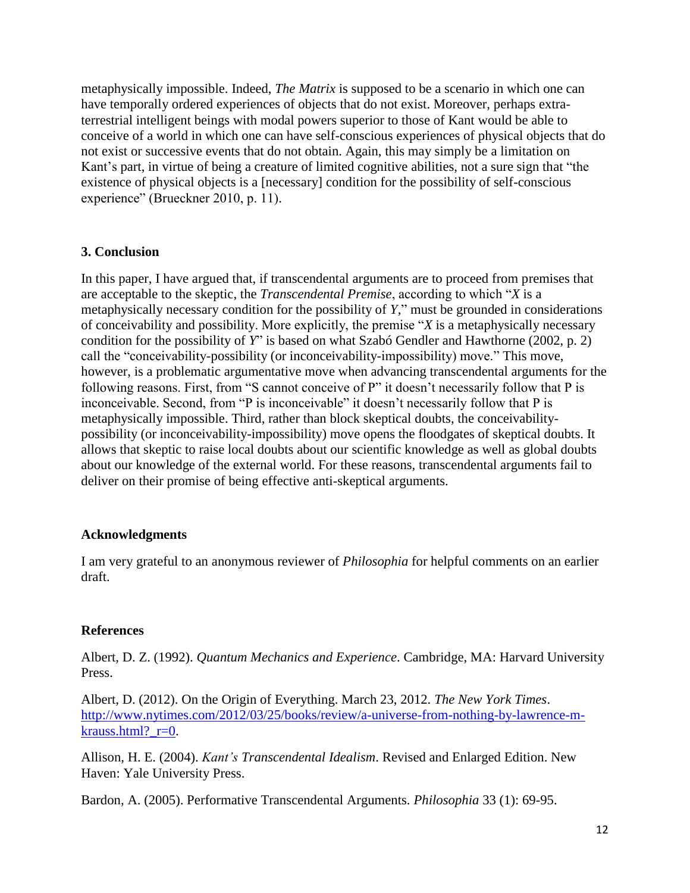metaphysically impossible. Indeed, *The Matrix* is supposed to be a scenario in which one can have temporally ordered experiences of objects that do not exist. Moreover, perhaps extraterrestrial intelligent beings with modal powers superior to those of Kant would be able to conceive of a world in which one can have self-conscious experiences of physical objects that do not exist or successive events that do not obtain. Again, this may simply be a limitation on Kant's part, in virtue of being a creature of limited cognitive abilities, not a sure sign that "the existence of physical objects is a [necessary] condition for the possibility of self-conscious experience" (Brueckner 2010, p. 11).

### **3. Conclusion**

In this paper, I have argued that, if transcendental arguments are to proceed from premises that are acceptable to the skeptic, the *Transcendental Premise*, according to which "*X* is a metaphysically necessary condition for the possibility of *Y*," must be grounded in considerations of conceivability and possibility. More explicitly, the premise "*X* is a metaphysically necessary condition for the possibility of *Y*" is based on what Szabó Gendler and Hawthorne (2002, p. 2) call the "conceivability-possibility (or inconceivability-impossibility) move." This move, however, is a problematic argumentative move when advancing transcendental arguments for the following reasons. First, from "S cannot conceive of P" it doesn't necessarily follow that P is inconceivable. Second, from "P is inconceivable" it doesn't necessarily follow that P is metaphysically impossible. Third, rather than block skeptical doubts, the conceivabilitypossibility (or inconceivability-impossibility) move opens the floodgates of skeptical doubts. It allows that skeptic to raise local doubts about our scientific knowledge as well as global doubts about our knowledge of the external world. For these reasons, transcendental arguments fail to deliver on their promise of being effective anti-skeptical arguments.

### **Acknowledgments**

I am very grateful to an anonymous reviewer of *Philosophia* for helpful comments on an earlier draft.

### **References**

Albert, D. Z. (1992). *Quantum Mechanics and Experience*. Cambridge, MA: Harvard University Press.

Albert, D. (2012). On the Origin of Everything. March 23, 2012. *The New York Times*. [http://www.nytimes.com/2012/03/25/books/review/a-universe-from-nothing-by-lawrence-m](http://www.nytimes.com/2012/03/25/books/review/a-universe-from-nothing-by-lawrence-m-krauss.html?_r=0)[krauss.html?\\_r=0.](http://www.nytimes.com/2012/03/25/books/review/a-universe-from-nothing-by-lawrence-m-krauss.html?_r=0)

Allison, H. E. (2004). *Kant's Transcendental Idealism*. Revised and Enlarged Edition. New Haven: Yale University Press.

Bardon, A. (2005). Performative Transcendental Arguments. *Philosophia* 33 (1): 69-95.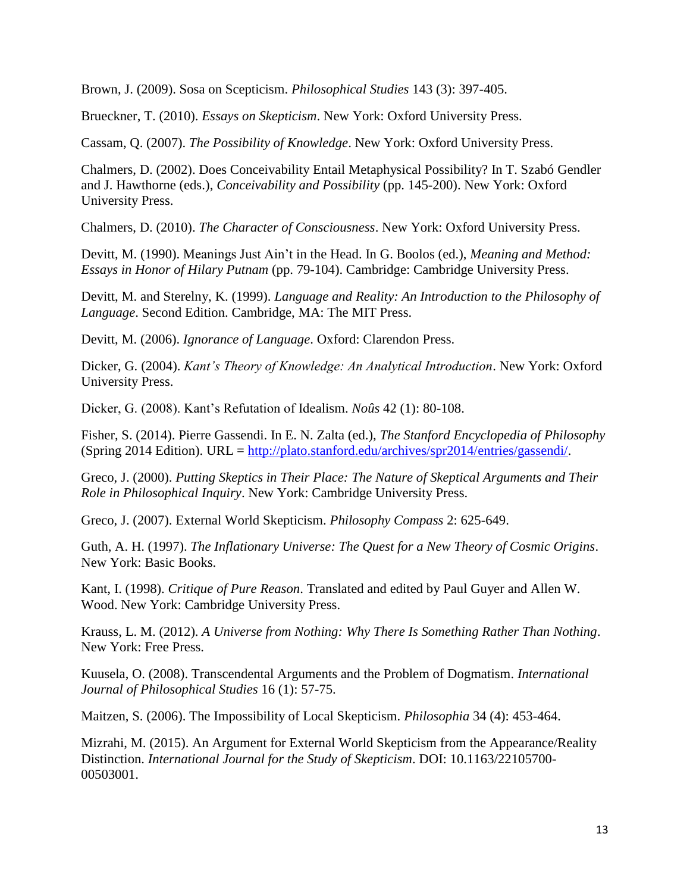Brown, J. (2009). Sosa on Scepticism. *Philosophical Studies* 143 (3): 397-405.

Brueckner, T. (2010). *Essays on Skepticism*. New York: Oxford University Press.

Cassam, Q. (2007). *The Possibility of Knowledge*. New York: Oxford University Press.

Chalmers, D. (2002). Does Conceivability Entail Metaphysical Possibility? In T. Szabó Gendler and J. Hawthorne (eds.), *Conceivability and Possibility* (pp. 145-200). New York: Oxford University Press.

Chalmers, D. (2010). *The Character of Consciousness*. New York: Oxford University Press.

Devitt, M. (1990). Meanings Just Ain't in the Head. In G. Boolos (ed.), *Meaning and Method: Essays in Honor of Hilary Putnam* (pp. 79-104). Cambridge: Cambridge University Press.

Devitt, M. and Sterelny, K. (1999). *Language and Reality: An Introduction to the Philosophy of Language*. Second Edition. Cambridge, MA: The MIT Press.

Devitt, M. (2006). *Ignorance of Language*. Oxford: Clarendon Press.

Dicker, G. (2004). *Kant's Theory of Knowledge: An Analytical Introduction*. New York: Oxford University Press.

Dicker, G. (2008). Kant's Refutation of Idealism. *Noûs* 42 (1): 80-108.

Fisher, S. (2014). Pierre Gassendi. In E. N. Zalta (ed.), *The Stanford Encyclopedia of Philosophy*  (Spring 2014 Edition). URL = [http://plato.stanford.edu/archives/spr2014/entries/gassendi/.](http://plato.stanford.edu/archives/spr2014/entries/gassendi/)

Greco, J. (2000). *Putting Skeptics in Their Place: The Nature of Skeptical Arguments and Their Role in Philosophical Inquiry*. New York: Cambridge University Press.

Greco, J. (2007). External World Skepticism. *Philosophy Compass* 2: 625-649.

Guth, A. H. (1997). *The Inflationary Universe: The Quest for a New Theory of Cosmic Origins*. New York: Basic Books.

Kant, I. (1998). *Critique of Pure Reason*. Translated and edited by Paul Guyer and Allen W. Wood. New York: Cambridge University Press.

Krauss, L. M. (2012). *A Universe from Nothing: Why There Is Something Rather Than Nothing*. New York: Free Press.

Kuusela, O. (2008). Transcendental Arguments and the Problem of Dogmatism. *International Journal of Philosophical Studies* 16 (1): 57-75.

Maitzen, S. (2006). The Impossibility of Local Skepticism. *Philosophia* 34 (4): 453-464.

Mizrahi, M. (2015). An Argument for External World Skepticism from the Appearance/Reality Distinction. *International Journal for the Study of Skepticism*. DOI: 10.1163/22105700- 00503001.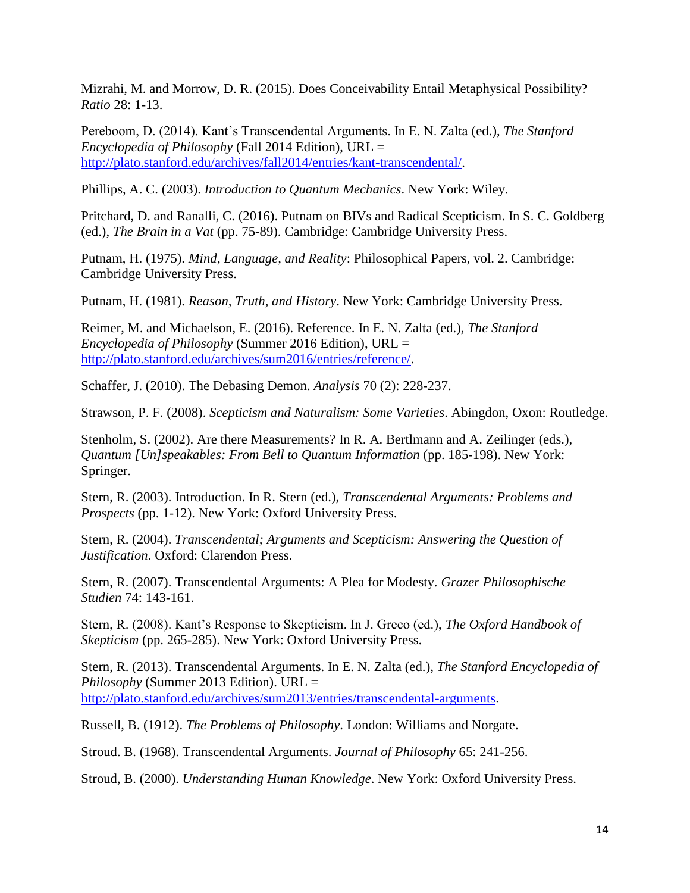Mizrahi, M. and Morrow, D. R. (2015). Does Conceivability Entail Metaphysical Possibility? *Ratio* 28: 1-13.

Pereboom, D. (2014). Kant's Transcendental Arguments. In E. N. Zalta (ed.), *The Stanford Encyclopedia of Philosophy* (Fall 2014 Edition), URL = [http://plato.stanford.edu/archives/fall2014/entries/kant-transcendental/.](http://plato.stanford.edu/archives/fall2014/entries/kant-transcendental/)

Phillips, A. C. (2003). *Introduction to Quantum Mechanics*. New York: Wiley.

Pritchard, D. and Ranalli, C. (2016). Putnam on BIVs and Radical Scepticism. In S. C. Goldberg (ed.), *The Brain in a Vat* (pp. 75-89). Cambridge: Cambridge University Press.

Putnam, H. (1975). *Mind, Language, and Reality*: Philosophical Papers, vol. 2. Cambridge: Cambridge University Press.

Putnam, H. (1981). *Reason, Truth, and History*. New York: Cambridge University Press.

Reimer, M. and Michaelson, E. (2016). Reference. In E. N. Zalta (ed.), *The Stanford Encyclopedia of Philosophy* (Summer 2016 Edition), URL = [http://plato.stanford.edu/archives/sum2016/entries/reference/.](http://plato.stanford.edu/archives/sum2016/entries/reference/)

Schaffer, J. (2010). The Debasing Demon. *Analysis* 70 (2): 228-237.

Strawson, P. F. (2008). *Scepticism and Naturalism: Some Varieties*. Abingdon, Oxon: Routledge.

Stenholm, S. (2002). Are there Measurements? In R. A. Bertlmann and A. Zeilinger (eds.), *Quantum [Un]speakables: From Bell to Quantum Information* (pp. 185-198). New York: Springer.

Stern, R. (2003). Introduction. In R. Stern (ed.), *Transcendental Arguments: Problems and Prospects* (pp. 1-12). New York: Oxford University Press.

Stern, R. (2004). *Transcendental; Arguments and Scepticism: Answering the Question of Justification*. Oxford: Clarendon Press.

Stern, R. (2007). Transcendental Arguments: A Plea for Modesty. *Grazer Philosophische Studien* 74: 143-161.

Stern, R. (2008). Kant's Response to Skepticism. In J. Greco (ed.), *The Oxford Handbook of Skepticism* (pp. 265-285). New York: Oxford University Press.

Stern, R. (2013). Transcendental Arguments. In E. N. Zalta (ed.), *The Stanford Encyclopedia of Philosophy* (Summer 2013 Edition). URL = [http://plato.stanford.edu/archives/sum2013/entries/transcendental-arguments.](http://plato.stanford.edu/archives/sum2013/entries/transcendental-arguments)

Russell, B. (1912). *The Problems of Philosophy*. London: Williams and Norgate.

Stroud. B. (1968). Transcendental Arguments. *Journal of Philosophy* 65: 241-256.

Stroud, B. (2000). *Understanding Human Knowledge*. New York: Oxford University Press.